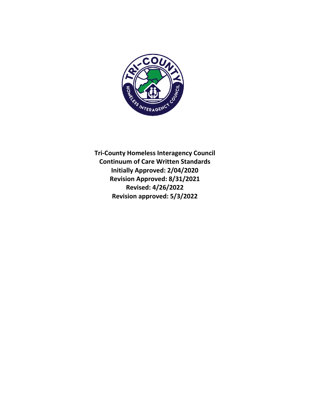

**Tri-County Homeless Interagency Council Continuum of Care Written Standards Initially Approved: 2/04/2020 Revision Approved: 8/31/2021 Revised: 4/26/2022 Revision approved: 5/3/2022**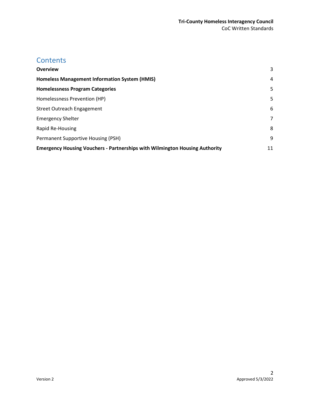# **Contents**

| <b>Overview</b>                                                                    | 3  |
|------------------------------------------------------------------------------------|----|
| Homeless Management Information System (HMIS)                                      | 4  |
| <b>Homelessness Program Categories</b>                                             | 5  |
| Homelessness Prevention (HP)                                                       | 5  |
| <b>Street Outreach Engagement</b>                                                  | 6  |
| <b>Emergency Shelter</b>                                                           | 7  |
| Rapid Re-Housing                                                                   | 8  |
| Permanent Supportive Housing (PSH)                                                 | 9  |
| <b>Emergency Housing Vouchers - Partnerships with Wilmington Housing Authority</b> | 11 |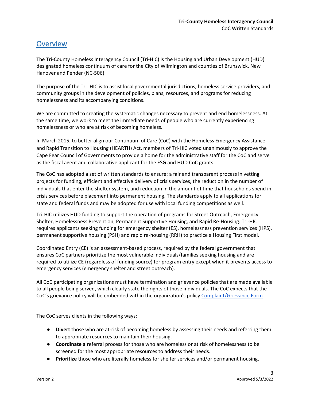## <span id="page-2-0"></span>**Overview**

The Tri-County Homeless Interagency Council (Tri-HIC) is the Housing and Urban Development (HUD) designated homeless continuum of care for the City of Wilmington and counties of Brunswick, New Hanover and Pender (NC-506).

The purpose of the Tri -HIC is to assist local governmental jurisdictions, homeless service providers, and community groups in the development of policies, plans, resources, and programs for reducing homelessness and its accompanying conditions.

We are committed to creating the systematic changes necessary to prevent and end homelessness. At the same time, we work to meet the immediate needs of people who are currently experiencing homelessness or who are at risk of becoming homeless.

In March 2015, to better align our Continuum of Care (CoC) with the Homeless Emergency Assistance and Rapid Transition to Housing (HEARTH) Act, members of Tri-HIC voted unanimously to approve the Cape Fear Council of Governments to provide a home for the administrative staff for the CoC and serve as the fiscal agent and collaborative applicant for the ESG and HUD CoC grants.

The CoC has adopted a set of written standards to ensure: a fair and transparent process in vetting projects for funding, efficient and effective delivery of crisis services, the reduction in the number of individuals that enter the shelter system, and reduction in the amount of time that households spend in crisis services before placement into permanent housing. The standards apply to all applications for state and federal funds and may be adopted for use with local funding competitions as well.

Tri-HIC utilizes HUD funding to support the operation of programs for Street Outreach, Emergency Shelter, Homelessness Prevention, Permanent Supportive Housing, and Rapid Re-Housing. Tri-HIC requires applicants seeking funding for emergency shelter (ES), homelessness prevention services (HPS), permanent supportive housing (PSH) and rapid re-housing (RRH) to practice a Housing First model.

Coordinated Entry (CE) is an assessment-based process, required by the federal government that ensures CoC partners prioritize the most vulnerable individuals/families seeking housing and are required to utilize CE (regardless of funding source) for program entry except when it prevents access to emergency services (emergency shelter and street outreach).

All CoC participating organizations must have termination and grievance policies that are made available to all people being served, which clearly state the rights of those individuals. The CoC expects that the CoC's grievance policy will be embedded within the organization's polic[y Complaint/Grievance Form](https://capefearcog.org/wp-content/uploads/2021/07/Client-Complaint-Form.pdf)

The CoC serves clients in the following ways:

- **Divert** those who are at-risk of becoming homeless by assessing their needs and referring them to appropriate resources to maintain their housing.
- **Coordinate a** referral process for those who are homeless or at risk of homelessness to be screened for the most appropriate resources to address their needs.
- **Prioritize** those who are literally homeless for shelter services and/or permanent housing.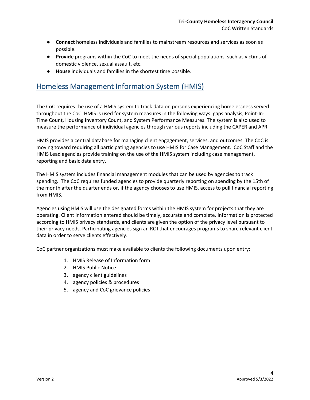- **Connect** homeless individuals and families to mainstream resources and services as soon as possible.
- **Provide** programs within the CoC to meet the needs of special populations, such as victims of domestic violence, sexual assault, etc.
- **House** individuals and families in the shortest time possible.

# <span id="page-3-0"></span>Homeless Management Information System (HMIS)

The CoC requires the use of a HMIS system to track data on persons experiencing homelessness served throughout the CoC. HMIS is used for system measures in the following ways: gaps analysis, Point-In-Time Count, Housing Inventory Count, and System Performance Measures. The system is also used to measure the performance of individual agencies through various reports including the CAPER and APR.

HMIS provides a central database for managing client engagement, services, and outcomes. The CoC is moving toward requiring all participating agencies to use HMIS for Case Management. CoC Staff and the HMIS Lead agencies provide training on the use of the HMIS system including case management, reporting and basic data entry.

The HMIS system includes financial management modules that can be used by agencies to track spending. The CoC requires funded agencies to provide quarterly reporting on spending by the 15th of the month after the quarter ends or, if the agency chooses to use HMIS, access to pull financial reporting from HMIS.

Agencies using HMIS will use the designated forms within the HMIS system for projects that they are operating. Client information entered should be timely, accurate and complete. Information is protected according to HMIS privacy standards, and clients are given the option of the privacy level pursuant to their privacy needs. Participating agencies sign an ROI that encourages programs to share relevant client data in order to serve clients effectively.

CoC partner organizations must make available to clients the following documents upon entry:

- 1. HMIS Release of Information form
- 2. HMIS Public Notice
- 3. agency client guidelines
- 4. agency policies & procedures
- 5. agency and CoC grievance policies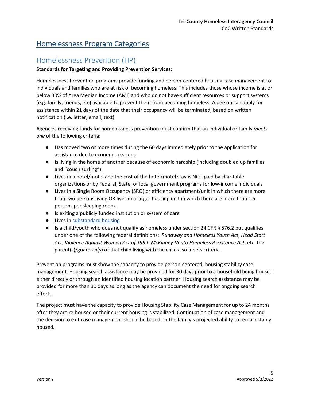# <span id="page-4-0"></span>Homelessness Program Categories

### <span id="page-4-1"></span>Homelessness Prevention (HP)

### **Standards for Targeting and Providing Prevention Services:**

Homelessness Prevention programs provide funding and person-centered housing case management to individuals and families who are at risk of becoming homeless. This includes those whose income is at or below 30% of Area Median Income (AMI) and who do not have sufficient resources or support systems (e.g. family, friends, etc) available to prevent them from becoming homeless. A person can apply for assistance within 21 days of the date that their occupancy will be terminated, based on written notification (i.e. letter, email, text)

Agencies receiving funds for homelessness prevention must confirm that an individual or family *meets one* of the following criteria:

- Has moved two or more times during the 60 days immediately prior to the application for assistance due to economic reasons
- Is living in the home of another because of economic hardship (including doubled up families and "couch surfing")
- Lives in a hotel/motel and the cost of the hotel/motel stay is NOT paid by charitable organizations or by Federal, State, or local government programs for low-income individuals
- Lives in a Single Room Occupancy (SRO) or efficiency apartment/unit in which there are more than two persons living OR lives in a larger housing unit in which there are more than 1.5 persons per sleeping room.
- Is exiting a publicly funded institution or system of care
- Lives in [substandard housing](https://www.govinfo.gov/content/pkg/CFR-1997-title24-vol1/pdf/CFR-1997-title24-vol1-sec5-425.pdf)
- Is a child/youth who does not qualify as homeless under section 24 CFR § 576.2 but qualifies under one of the following federal definitions: *Runaway and Homeless Youth Act*, *Head Start Act*, *Violence Against Women Act of 1994*, *McKinney-Vento Homeless Assistance Act*, etc. the parent(s)/guardian(s) of that child living with the child also meets criteria.

Prevention programs must show the capacity to provide person-centered, housing stability case management. Housing search assistance may be provided for 30 days prior to a household being housed either directly or through an identified housing location partner. Housing search assistance may be provided for more than 30 days as long as the agency can document the need for ongoing search efforts.

The project must have the capacity to provide Housing Stability Case Management for up to 24 months after they are re-housed or their current housing is stabilized. Continuation of case management and the decision to exit case management should be based on the family's projected ability to remain stably housed.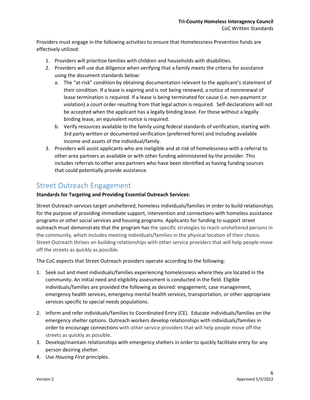Providers must engage in the following activities to ensure that Homelessness Prevention funds are effectively utilized:

- 1. Providers will prioritize families with children and households with disabilities.
- 2. Providers will use due diligence when verifying that a family meets the criteria for assistance using the document standards below:
	- a. The "at-risk" condition by obtaining documentation relevant to the applicant's statement of their condition. If a lease is expiring and is not being renewed, a notice of nonrenewal of lease termination is required. If a lease is being terminated for cause (i.e. non-payment or violation) a court order resulting from that legal action is required. Self-declarations will not be accepted when the applicant has a legally binding lease. For those without a legally binding lease, an equivalent notice is required.
	- b. Verify resources available to the family using federal standards of verification, starting with 3rd party written or documented verification (preferred form) and including available income and assets of the individual/family.
- 3. Providers will assist applicants who are ineligible and at risk of homelessness with a referral to other area partners as available or with other funding administered by the provider. This includes referrals to other area partners who have been identified as having funding sources that could potentially provide assistance.

### <span id="page-5-0"></span>Street Outreach Engagement

### **Standards for Targeting and Providing Essential Outreach Services:**

Street Outreach services target unsheltered, homeless individuals/families in order to build relationships for the purpose of providing immediate support, intervention and connections with homeless assistance programs or other social services and housing programs. Applicants for funding to support street outreach must demonstrate that the program has the specific strategies to reach unsheltered persons in the community, which includes meeting individuals/families in the physical location of their choice. Street Outreach thrives on building relationships with other service providers that will help people move off the streets as quickly as possible.

The CoC expects that Street Outreach providers operate according to the following:

- 1. Seek out and meet individuals/families experiencing homelessness where they are located in the community. An initial need and eligibility assessment is conducted in the field. Eligible individuals/families are provided the following as desired: engagement, case management, emergency health services, emergency mental health services, transportation, or other appropriate services specific to special needs populations.
- 2. Inform and refer individuals/families to Coordinated Entry (CE). Educate individuals/families on the emergency shelter options. Outreach workers develop relationships with individuals/families in order to encourage connections with other service providers that will help people move off the streets as quickly as possible.
- 3. Develop/maintain relationships with emergency shelters in order to quickly facilitate entry for any person desiring shelter.
- 4. Use *Housing First* principles.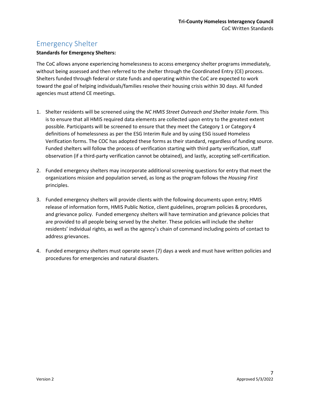# <span id="page-6-0"></span>Emergency Shelter

#### **Standards for Emergency Shelters:**

The CoC allows anyone experiencing homelessness to access emergency shelter programs immediately, without being assessed and then referred to the shelter through the Coordinated Entry (CE) process. Shelters funded through federal or state funds and operating within the CoC are expected to work toward the goal of helping individuals/families resolve their housing crisis within 30 days. All funded agencies must attend CE meetings.

- 1. Shelter residents will be screened using the *NC HMIS Street Outreach and Shelter Intake Form*. This is to ensure that all HMIS required data elements are collected upon entry to the greatest extent possible. Participants will be screened to ensure that they meet the Category 1 or Category 4 definitions of homelessness as per the ESG Interim Rule and by using ESG issued Homeless Verification forms. The COC has adopted these forms as their standard, regardless of funding source. Funded shelters will follow the process of verification starting with third party verification, staff observation (if a third-party verification cannot be obtained), and lastly, accepting self-certification.
- 2. Funded emergency shelters may incorporate additional screening questions for entry that meet the organizations mission and population served, as long as the program follows the *Housing First* principles.
- 3. Funded emergency shelters will provide clients with the following documents upon entry; HMIS release of information form, HMIS Public Notice, client guidelines, program policies & procedures, and grievance policy. Funded emergency shelters will have termination and grievance policies that are provided to all people being served by the shelter. These policies will include the shelter residents' individual rights, as well as the agency's chain of command including points of contact to address grievances.
- 4. Funded emergency shelters must operate seven (7) days a week and must have written policies and procedures for emergencies and natural disasters.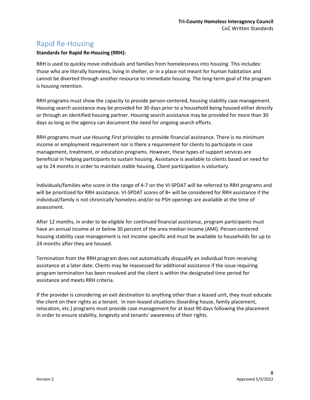### <span id="page-7-0"></span>Rapid Re-Housing

### **Standards for Rapid Re-Housing (RRH):**

RRH is used to quickly move individuals and families from homelessness into housing. This includes: those who are literally homeless, living in shelter, or in a place not meant for human habitation and cannot be diverted through another resource to immediate housing. The long-term goal of the program is housing retention.

RRH programs must show the capacity to provide person-centered, housing stability case management. Housing search assistance may be provided for 30 days prior to a household being housed either directly or through an identified housing partner. Housing search assistance may be provided for more than 30 days as long as the agency can document the need for ongoing search efforts.

RRH programs must use Housing *First* principles to provide financial assistance. There is no minimum income or employment requirement nor is there a requirement for clients to participate in case management, treatment, or education programs. However, these types of support services are beneficial in helping participants to sustain housing. Assistance is available to clients based on need for up to 24 months in order to maintain stable housing. Client participation is voluntary.

Individuals/families who score in the range of 4-7 on the VI-SPDAT will be referred to RRH programs and will be prioritized for RRH assistance. VI-SPDAT scores of 8+ will be considered for RRH assistance if the individual/family is not chronically homeless and/or no PSH openings are available at the time of assessment.

After 12 months, in order to be eligible for continued financial assistance, program participants must have an annual income at or below 30 percent of the area median income (AMI). Person-centered housing stability case management is not income specific and must be available to households for up to 24 months after they are housed.

Termination from the RRH program does not automatically disqualify an individual from receiving assistance at a later date. Clients may be reassessed for additional assistance if the issue requiring program termination has been resolved and the client is within the designated time period for assistance and meets RRH criteria.

If the provider is considering an exit destination to anything other than a leased unit, they must educate the client on their rights as a tenant. In non-leased situations (boarding house, family placement, relocation, etc.) programs must provide case management for at least 90 days following the placement in order to ensure stability, longevity and tenants' awareness of their rights.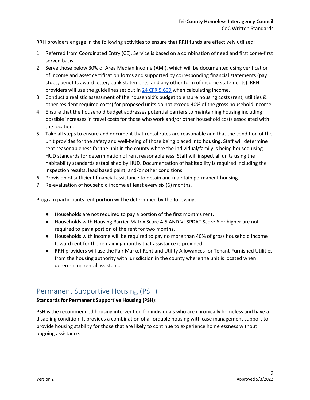RRH providers engage in the following activities to ensure that RRH funds are effectively utilized:

- 1. Referred from Coordinated Entry (CE). Service is based on a combination of need and first come-first served basis.
- 2. Serve those below 30% of Area Median Income (AMI), which will be documented using verification of income and asset certification forms and supported by corresponding financial statements (pay stubs, benefits award letter, bank statements, and any other form of income statements). RRH providers will use the guidelines set out i[n 24 CFR 5.609](https://www.law.cornell.edu/cfr/text/24/5.609) when calculating income.
- 3. Conduct a realistic assessment of the household's budget to ensure housing costs (rent, utilities & other resident required costs) for proposed units do not exceed 40% of the gross household income.
- 4. Ensure that the household budget addresses potential barriers to maintaining housing including possible increases in travel costs for those who work and/or other household costs associated with the location.
- 5. Take all steps to ensure and document that rental rates are reasonable and that the condition of the unit provides for the safety and well-being of those being placed into housing. Staff will determine rent reasonableness for the unit in the county where the individual/family is being housed using HUD standards for determination of rent reasonableness. Staff will inspect all units using the habitability standards established by HUD. Documentation of habitability is required including the inspection results, lead based paint, and/or other conditions.
- 6. Provision of sufficient financial assistance to obtain and maintain permanent housing.
- 7. Re-evaluation of household income at least every six (6) months.

Program participants rent portion will be determined by the following:

- Households are not required to pay a portion of the first month's rent.
- Households with Housing Barrier Matrix Score 4-5 AND VI-SPDAT Score 6 or higher are not required to pay a portion of the rent for two months.
- Households with income will be required to pay no more than 40% of gross household income toward rent for the remaining months that assistance is provided.
- RRH providers will use the Fair Market Rent and Utility Allowances for Tenant-Furnished Utilities from the housing authority with jurisdiction in the county where the unit is located when determining rental assistance.

### <span id="page-8-0"></span>Permanent Supportive Housing (PSH)

### **Standards for Permanent Supportive Housing (PSH):**

PSH is the recommended housing intervention for individuals who are chronically homeless and have a disabling condition. It provides a combination of affordable housing with case management support to provide housing stability for those that are likely to continue to experience homelessness without ongoing assistance.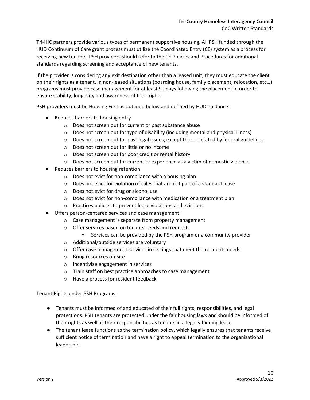Tri-HIC partners provide various types of permanent supportive housing. All PSH funded through the HUD Continuum of Care grant process must utilize the Coordinated Entry (CE) system as a process for receiving new tenants. PSH providers should refer to the CE Policies and Procedures for additional standards regarding screening and acceptance of new tenants.

If the provider is considering any exit destination other than a leased unit, they must educate the client on their rights as a tenant. In non-leased situations (boarding house, family placement, relocation, etc…) programs must provide case management for at least 90 days following the placement in order to ensure stability, longevity and awareness of their rights.

PSH providers must be Housing First as outlined below and defined by HUD guidance:

- Reduces barriers to housing entry
	- o Does not screen out for current or past substance abuse
	- o Does not screen out for type of disability (including mental and physical illness)
	- $\circ$  Does not screen out for past legal issues, except those dictated by federal guidelines
	- o Does not screen out for little or no income
	- o Does not screen out for poor credit or rental history
	- $\circ$  Does not screen out for current or experience as a victim of domestic violence
- Reduces barriers to housing retention
	- o Does not evict for non-compliance with a housing plan
	- o Does not evict for violation of rules that are not part of a standard lease
	- o Does not evict for drug or alcohol use
	- o Does not evict for non-compliance with medication or a treatment plan
	- o Practices policies to prevent lease violations and evictions
- Offers person-centered services and case management:
	- o Case management is separate from property management
	- o Offer services based on tenants needs and requests
		- Services can be provided by the PSH program or a community provider
	- o Additional/outside services are voluntary
	- o Offer case management services in settings that meet the residents needs
	- o Bring resources on-site
	- o Incentivize engagement in services
	- o Train staff on best practice approaches to case management
	- o Have a process for resident feedback

Tenant Rights under PSH Programs:

- Tenants must be informed of and educated of their full rights, responsibilities, and legal protections. PSH tenants are protected under the fair housing laws and should be informed of their rights as well as their responsibilities as tenants in a legally binding lease.
- The tenant lease functions as the termination policy, which legally ensures that tenants receive sufficient notice of termination and have a right to appeal termination to the organizational leadership.